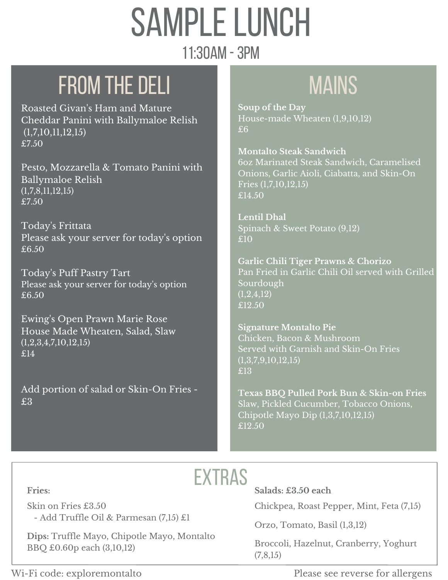# **SAMPLE LUNCH**

#### 11:30am -3pm

## FROM THE DELI **MAINS**

Roasted Givan's Ham and Mature Cheddar Panini with Ballymaloe Relish (1,7,10,11,12,15) £7.50

Pesto, Mozzarella & Tomato Panini with Ballymaloe Relish (1,7,8,11,12,15) £7.50

Today's Frittata Please ask your server for today's option £6.50

Today's Puff Pastry Tart Please ask your server for today's option £6.50

Ewing's Open Prawn Marie Rose House Made Wheaten, Salad, Slaw (1,2,3,4,7,10,12,15) £14

Add portion of salad or Skin-On Fries - £3

**Soup of the Day** House-made Wheaten (1,9,10,12)  $£6$ 

**Montalto Steak Sandwich** 6oz Marinated Steak Sandwich, Caramelised Onions, Garlic Aioli, Ciabatta, and Skin-On Fries (1,7,10,12,15) £14.50

**Lentil Dhal** Spinach & Sweet Potato (9,12) £10

**Garlic Chili Tiger Prawns & Chorizo** Pan Fried in Garlic Chili Oil served with Grilled Sourdough  $(1,2,4,12)$ £12.50

**Signature Montalto Pie** Chicken, Bacon & Mushroom Served with Garnish and Skin-On Fries  $\overline{(1,3,7,9,10,12,15)}$ £13

**Texas BBQ Pulled Pork Bun & Skin-on Fries** Slaw, Pickled Cucumber, Tobacco Onions, Chipotle Mayo Dip (1,3,7,10,12,15) £12.50

### **EXTRAS**

**Fries:**

Skin on Fries £3.50 - Add Truffle Oil & Parmesan (7,15) £1

**Dips:** Truffle Mayo, Chipotle Mayo, Montalto BBQ £0.60p each (3,10,12)

**Salads: £3.50 each**

Chickpea, Roast Pepper, Mint, Feta (7,15)

Orzo, Tomato, Basil (1,3,12)

Broccoli, Hazelnut, Cranberry, Yoghurt (7,8,15)

Wi-Fi code: exploremontalto Please see reverse for allergens